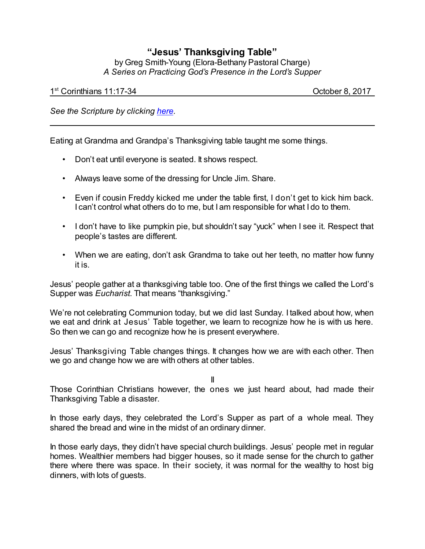## **"Jesus' Thanksgiving Table"**

by Greg Smith-Young (Elora-Bethany Pastoral Charge) *A Series on Practicing God's Presence in the Lord's Supper*

1 st Corinthians 11:17-34 October 8, 2017

*See the Scripture by clicking [here](https://www.biblegateway.com/passage/?search=1+Corinthians+11%3A17-34&version=CEB).*

Eating at Grandma and Grandpa's Thanksgiving table taught me some things.

- Don't eat until everyone is seated. It shows respect.
- Always leave some of the dressing for Uncle Jim. Share.
- Even if cousin Freddy kicked me under the table first, I don't get to kick him back. I can't control what others do to me, but I am responsible for what I do to them.
- I don't have to like pumpkin pie, but shouldn't say "yuck" when I see it. Respect that people's tastes are different.
- When we are eating, don't ask Grandma to take out her teeth, no matter how funny it is.

Jesus' people gather at a thanksgiving table too. One of the first things we called the Lord's Supper was *Eucharist*. That means "thanksgiving."

We're not celebrating Communion today, but we did last Sunday. I talked about how, when we eat and drink at Jesus' Table together, we learn to recognize how he is with us here. So then we can go and recognize how he is present everywhere.

Jesus' Thanksgiving Table changes things. It changes how we are with each other. Then we go and change how we are with others at other tables.

II

Those Corinthian Christians however, the ones we just heard about, had made their Thanksgiving Table a disaster.

In those early days, they celebrated the Lord's Supper as part of a whole meal. They shared the bread and wine in the midst of an ordinary dinner.

In those early days, they didn't have special church buildings. Jesus' people met in regular homes. Wealthier members had bigger houses, so it made sense for the church to gather there where there was space. In their society, it was normal for the wealthy to host big dinners, with lots of guests.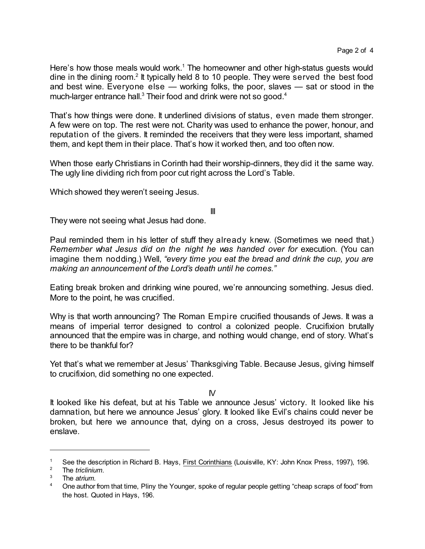Here's how those meals would work.<sup>1</sup> The homeowner and other high-status guests would dine in the dining room.<sup>2</sup> It typically held 8 to 10 people. They were served the best food and best wine. Everyone else — working folks, the poor, slaves — sat or stood in the much-larger entrance hall. $3$  Their food and drink were not so good. $4$ 

That's how things were done. It underlined divisions of status, even made them stronger. A few were on top. The rest were not. Charity was used to enhance the power, honour, and reputation of the givers. It reminded the receivers that they were less important, shamed them, and kept them in their place. That's how it worked then, and too often now.

When those early Christians in Corinth had their worship-dinners, they did it the same way. The ugly line dividing rich from poor cut right across the Lord's Table.

Which showed they weren't seeing Jesus.

III

They were not seeing what Jesus had done.

Paul reminded them in his letter of stuff they already knew. (Sometimes we need that.) *Remember what Jesus did on the night he was handed over for* execution. (You can imagine them nodding.) Well, *"every time you eat the bread and drink the cup, you are making an announcement of the Lord's death until he comes."*

Eating break broken and drinking wine poured, we're announcing something. Jesus died. More to the point, he was crucified.

Why is that worth announcing? The Roman Empire crucified thousands of Jews. It was a means of imperial terror designed to control a colonized people. Crucifixion brutally announced that the empire was in charge, and nothing would change, end of story. What's there to be thankful for?

Yet that's what we remember at Jesus' Thanksgiving Table. Because Jesus, giving himself to crucifixion, did something no one expected.

IV

It looked like his defeat, but at his Table we announce Jesus' victory. It looked like his damnation, but here we announce Jesus' glory. It looked like Evil's chains could never be broken, but here we announce that, dying on a cross, Jesus destroyed its power to enslave.

<sup>&</sup>lt;sup>1</sup> See the description in Richard B. Hays, <u>First Corinthians</u> (Louisville, KY: John Knox Press, 1997), 196.<br><sup>2</sup> The trielinium

<sup>&</sup>lt;sup>2</sup> The *triclinium*.

<sup>3</sup> The *atrium.*

<sup>&</sup>lt;sup>4</sup> One author from that time, Pliny the Younger, spoke of regular people getting "cheap scraps of food" from the host. Quoted in Hays, 196.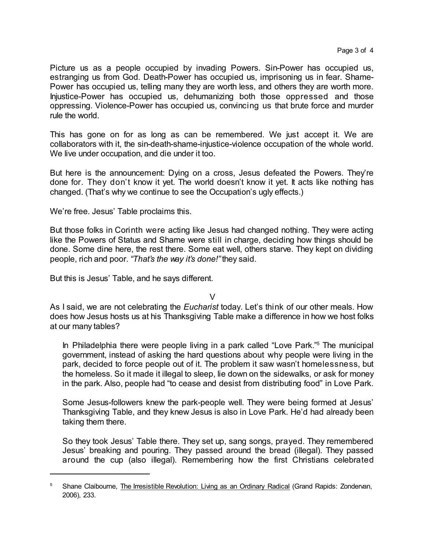Picture us as a people occupied by invading Powers. Sin-Power has occupied us, estranging us from God. Death-Power has occupied us, imprisoning us in fear. Shame-Power has occupied us, telling many they are worth less, and others they are worth more. Injustice-Power has occupied us, dehumanizing both those oppressed and those oppressing. Violence-Power has occupied us, convincing us that brute force and murder rule the world.

This has gone on for as long as can be remembered. We just accept it. We are collaborators with it, the sin-death-shame-injustice-violence occupation of the whole world. We live under occupation, and die under it too.

But here is the announcement: Dying on a cross, Jesus defeated the Powers. They're done for. They don't know it yet. The world doesn't know it yet. It acts like nothing has changed. (That's why we continue to see the Occupation's ugly effects.)

We're free. Jesus' Table proclaims this.

But those folks in Corinth were acting like Jesus had changed nothing. They were acting like the Powers of Status and Shame were still in charge, deciding how things should be done. Some dine here, the rest there. Some eat well, others starve. They kept on dividing people, rich and poor. *"That's the way it's done!"* they said.

But this is Jesus' Table, and he says different.

 $\vee$ 

As I said, we are not celebrating the *Eucharist* today. Let's think of our other meals. How does how Jesus hosts us at his Thanksgiving Table make a difference in how we host folks at our many tables?

In Philadelphia there were people living in a park called "Love Park."<sup>5</sup> The municipal government, instead of asking the hard questions about why people were living in the park, decided to force people out of it. The problem it saw wasn't homelessness, but the homeless. So it made it illegal to sleep, lie down on the sidewalks, or ask for money in the park. Also, people had "to cease and desist from distributing food" in Love Park.

Some Jesus-followers knew the park-people well. They were being formed at Jesus' Thanksgiving Table, and they knew Jesus is also in Love Park. He'd had already been taking them there.

So they took Jesus' Table there. They set up, sang songs, prayed. They remembered Jesus' breaking and pouring. They passed around the bread (illegal). They passed around the cup (also illegal). Remembering how the first Christians celebrated

<sup>&</sup>lt;sup>5</sup> Shane Claibourne, The Irresistible Revolution: Living as an Ordinary Radical (Grand Rapids: Zondervan, 2006), 233.